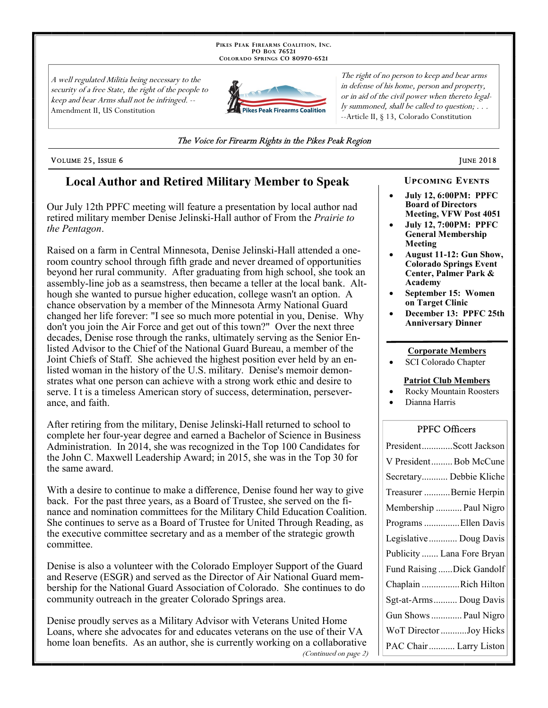PIKES PEAK FIREARMS COALITION, INC. PO Box 76521 COLORADO SPRINGS CO 80970-6521

A well regulated Militia being necessary to the security of a free State, the right of the people to keep and bear Arms shall not be infringed. --Amendment II, US Constitution



The right of no person to keep and bear arms in defense of his home, person and property, or in aid of the civil power when thereto legally summoned, shall be called to question; . . . --Article II, § 13, Colorado Constitution

### The Voice for Firearm Rights in the Pikes Peak Region

#### VOLUME 25, ISSUE 6

## **Local Author and Retired Military Member to Speak**

Our July 12th PPFC meeting will feature a presentation by local author nad retired military member Denise Jelinski-Hall author of From the Prairie to the Pentagon.

Raised on a farm in Central Minnesota, Denise Jelinski-Hall attended a oneroom country school through fifth grade and never dreamed of opportunities beyond her rural community. After graduating from high school, she took an assembly-line job as a seamstress, then became a teller at the local bank. Although she wanted to pursue higher education, college wasn't an option. A chance observation by a member of the Minnesota Army National Guard changed her life forever: "I see so much more potential in you, Denise. Why don't you join the Air Force and get out of this town?" Over the next three decades, Denise rose through the ranks, ultimately serving as the Senior Enlisted Advisor to the Chief of the National Guard Bureau, a member of the Joint Chiefs of Staff. She achieved the highest position ever held by an enlisted woman in the history of the U.S. military. Denise's memoir demonstrates what one person can achieve with a strong work ethic and desire to serve. I t is a timeless American story of success, determination, perseverance, and faith.

After retiring from the military, Denise Jelinski-Hall returned to school to complete her four-year degree and earned a Bachelor of Science in Business Administration. In 2014, she was recognized in the Top 100 Candidates for the John C. Maxwell Leadership Award; in 2015, she was in the Top 30 for the same award.

With a desire to continue to make a difference, Denise found her way to give back. For the past three years, as a Board of Trustee, she served on the finance and nomination committees for the Military Child Education Coalition. She continues to serve as a Board of Trustee for United Through Reading, as the executive committee secretary and as a member of the strategic growth committee.

Denise is also a volunteer with the Colorado Employer Support of the Guard and Reserve (ESGR) and served as the Director of Air National Guard membership for the National Guard Association of Colorado. She continues to do community outreach in the greater Colorado Springs area.

Denise proudly serves as a Military Advisor with Veterans United Home Loans, where she advocates for and educates veterans on the use of their VA home loan benefits. As an author, she is currently working on a collaborative (Continued on page 2)

### **UPCOMING EVENTS**

**JUNE 2018** 

- **July 12, 6:00PM: PPFC Board of Directors** Meeting, VFW Post 4051
- **July 12, 7:00PM: PPFC General Membership** Meeting
- August 11-12: Gun Show, **Colorado Springs Event** Center, Palmer Park & Academy
- September 15: Women on Target Clinic
- December 13: PPFC 25th **Anniversary Dinner**

### **Corporate Members**

SCI Colorado Chapter

### **Patriot Club Members**

- **Rocky Mountain Roosters**
- Dianna Harris

### **PPFC Officers**

| PresidentScott Jackson     |
|----------------------------|
| V PresidentBob McCune      |
| Secretary Debbie Kliche    |
| Treasurer Bernie Herpin    |
| Membership  Paul Nigro     |
| Programs Ellen Davis       |
| Legislative  Doug Davis    |
| Publicity  Lana Fore Bryan |
| Fund Raising Dick Gandolf  |
| Chaplain Rich Hilton       |
| Sgt-at-Arms Doug Davis     |
| Gun Shows  Paul Nigro      |
| WoT Director Joy Hicks     |
| PAC Chair  Larry Liston    |